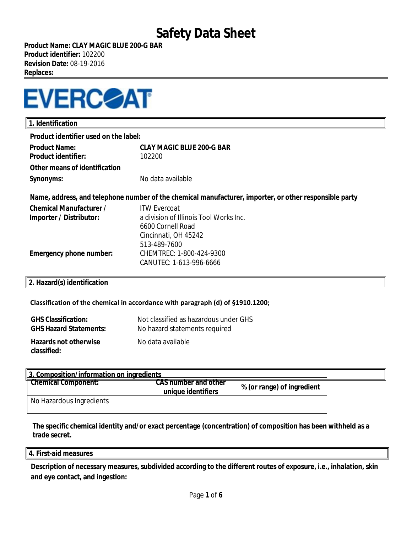**Product Name: CLAY MAGIC BLUE 200-G BAR Product identifier:** 102200 **Revision Date:** 08-19-2016 **Replaces:** 



| Product identifier used on the label:<br><b>CLAY MAGIC BLUE 200-G BAR</b><br><b>Product Name:</b><br><b>Product identifier:</b><br>102200<br>Other means of identification<br>No data available<br>Synonyms:<br>Name, address, and telephone number of the chemical manufacturer, importer, or other responsible party<br><b>Chemical Manufacturer /</b><br><b>ITW Evercoat</b><br>a division of Illinois Tool Works Inc.<br>Importer / Distributor:<br>6600 Cornell Road<br>Cincinnati, OH 45242<br>513-489-7600<br>Emergency phone number:<br>CHEMTREC: 1-800-424-9300<br>CANUTEC: 1-613-996-6666 | 1. Identification |  |  |
|-----------------------------------------------------------------------------------------------------------------------------------------------------------------------------------------------------------------------------------------------------------------------------------------------------------------------------------------------------------------------------------------------------------------------------------------------------------------------------------------------------------------------------------------------------------------------------------------------------|-------------------|--|--|
|                                                                                                                                                                                                                                                                                                                                                                                                                                                                                                                                                                                                     |                   |  |  |
|                                                                                                                                                                                                                                                                                                                                                                                                                                                                                                                                                                                                     |                   |  |  |
|                                                                                                                                                                                                                                                                                                                                                                                                                                                                                                                                                                                                     |                   |  |  |
|                                                                                                                                                                                                                                                                                                                                                                                                                                                                                                                                                                                                     |                   |  |  |
|                                                                                                                                                                                                                                                                                                                                                                                                                                                                                                                                                                                                     |                   |  |  |
|                                                                                                                                                                                                                                                                                                                                                                                                                                                                                                                                                                                                     |                   |  |  |
|                                                                                                                                                                                                                                                                                                                                                                                                                                                                                                                                                                                                     |                   |  |  |
|                                                                                                                                                                                                                                                                                                                                                                                                                                                                                                                                                                                                     |                   |  |  |
|                                                                                                                                                                                                                                                                                                                                                                                                                                                                                                                                                                                                     |                   |  |  |
|                                                                                                                                                                                                                                                                                                                                                                                                                                                                                                                                                                                                     |                   |  |  |
|                                                                                                                                                                                                                                                                                                                                                                                                                                                                                                                                                                                                     |                   |  |  |
|                                                                                                                                                                                                                                                                                                                                                                                                                                                                                                                                                                                                     |                   |  |  |

### **2. Hazard(s) identification**

#### **Classification of the chemical in accordance with paragraph (d) of §1910.1200;**

| <b>GHS Classification:</b>                  | Not classified as hazardous under GHS |
|---------------------------------------------|---------------------------------------|
| <b>GHS Hazard Statements:</b>               | No hazard statements required         |
| <b>Hazards not otherwise</b><br>classified: | No data available                     |

| 3. Composition/information on ingredients |                                                   |                            |  |
|-------------------------------------------|---------------------------------------------------|----------------------------|--|
| <b>Chemical Component:</b>                | <b>CAS number and other</b><br>unique identifiers | % (or range) of ingredient |  |
| No Hazardous Ingredients                  |                                                   |                            |  |

**The specific chemical identity and/or exact percentage (concentration) of composition has been withheld as a trade secret.**

#### **4. First-aid measures**

**Description of necessary measures, subdivided according to the different routes of exposure, i.e., inhalation, skin and eye contact, and ingestion:**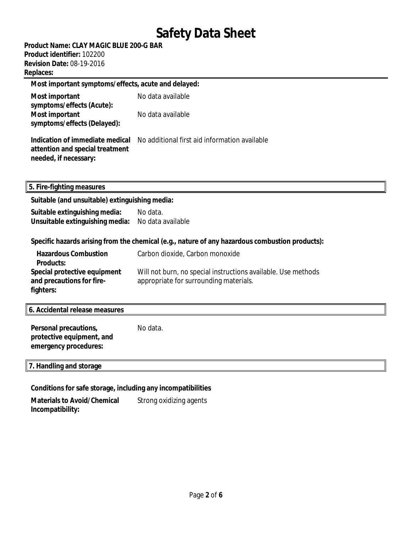**Product Name: CLAY MAGIC BLUE 200-G BAR Product identifier:** 102200

**Revision Date:** 08-19-2016 **Replaces:** 

### **Most important symptoms/effects, acute and delayed:**

| Most important              | No data available |
|-----------------------------|-------------------|
| symptoms/effects (Acute):   |                   |
| Most important              | No data available |
| symptoms/effects (Delayed): |                   |

**Indication of immediate medical** No additional first aid information available **attention and special treatment needed, if necessary:** 

**5. Fire-fighting measures**

### **Suitable (and unsuitable) extinguishing media:**

| Suitable extinguishing media:   | No data.          |
|---------------------------------|-------------------|
| Unsuitable extinguishing media: | No data available |

### **Specific hazards arising from the chemical (e.g., nature of any hazardous combustion products):**

| <b>Hazardous Combustion</b><br><b>Products:</b> | Carbon dioxide, Carbon monoxide                               |
|-------------------------------------------------|---------------------------------------------------------------|
| Special protective equipment                    | Will not burn, no special instructions available. Use methods |
| and precautions for fire-                       | appropriate for surrounding materials.                        |
| fighters:                                       |                                                               |

### **6. Accidental release measures**

| Personal precautions,     | No data. |
|---------------------------|----------|
| protective equipment, and |          |
| emergency procedures:     |          |

#### **7. Handling and storage**

### **Conditions for safe storage, including any incompatibilities**

**Materials to Avoid/Chemical Incompatibility:** Strong oxidizing agents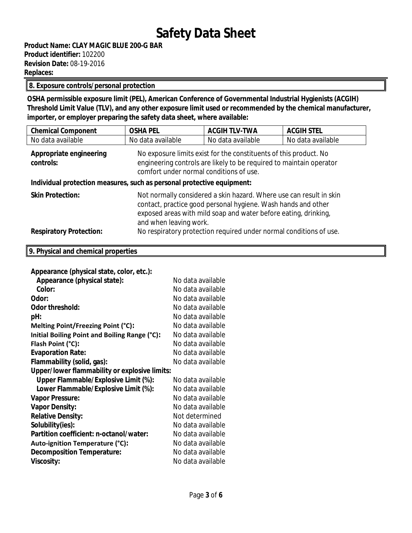### **8. Exposure controls/personal protection**

**OSHA permissible exposure limit (PEL), American Conference of Governmental Industrial Hygienists (ACGIH) Threshold Limit Value (TLV), and any other exposure limit used or recommended by the chemical manufacturer, importer, or employer preparing the safety data sheet, where available:**

| <b>Chemical Component</b>                                                                                                                                                                                                   | <b>OSHA PEL</b>                                                                                                                                                                                                                   | <b>ACGIH TLV-TWA</b> | <b>ACGIH STEL</b> |
|-----------------------------------------------------------------------------------------------------------------------------------------------------------------------------------------------------------------------------|-----------------------------------------------------------------------------------------------------------------------------------------------------------------------------------------------------------------------------------|----------------------|-------------------|
| No data available                                                                                                                                                                                                           | No data available                                                                                                                                                                                                                 | No data available    | No data available |
| No exposure limits exist for the constituents of this product. No<br>Appropriate engineering<br>engineering controls are likely to be required to maintain operator<br>controls:<br>comfort under normal conditions of use. |                                                                                                                                                                                                                                   |                      |                   |
| Individual protection measures, such as personal protective equipment:                                                                                                                                                      |                                                                                                                                                                                                                                   |                      |                   |
| <b>Skin Protection:</b>                                                                                                                                                                                                     | Not normally considered a skin hazard. Where use can result in skin<br>contact, practice good personal hygiene. Wash hands and other<br>exposed areas with mild soap and water before eating, drinking,<br>and when leaving work. |                      |                   |
| <b>Respiratory Protection:</b>                                                                                                                                                                                              | No respiratory protection required under normal conditions of use.                                                                                                                                                                |                      |                   |
| 9. Physical and chemical properties                                                                                                                                                                                         |                                                                                                                                                                                                                                   |                      |                   |
| Annearance (physical state color etc):                                                                                                                                                                                      |                                                                                                                                                                                                                                   |                      |                   |

| Appearance (physical state, color, etc.):     |                   |  |  |
|-----------------------------------------------|-------------------|--|--|
| Appearance (physical state):                  | No data available |  |  |
| Color:                                        | No data available |  |  |
| Odor:                                         | No data available |  |  |
| Odor threshold:                               | No data available |  |  |
| pH:                                           | No data available |  |  |
| Melting Point/Freezing Point (°C):            | No data available |  |  |
| Initial Boiling Point and Boiling Range (°C): | No data available |  |  |
| Flash Point (°C):                             | No data available |  |  |
| <b>Evaporation Rate:</b>                      | No data available |  |  |
| Flammability (solid, gas):                    | No data available |  |  |
| Upper/lower flammability or explosive limits: |                   |  |  |
| Upper Flammable/Explosive Limit (%):          | No data available |  |  |
| Lower Flammable/Explosive Limit (%):          | No data available |  |  |
| <b>Vapor Pressure:</b>                        | No data available |  |  |
| <b>Vapor Density:</b>                         | No data available |  |  |
| <b>Relative Density:</b>                      | Not determined    |  |  |
| Solubility(ies):                              | No data available |  |  |
| Partition coefficient: n-octanol/water:       | No data available |  |  |
| Auto-ignition Temperature (°C):               | No data available |  |  |
| <b>Decomposition Temperature:</b>             | No data available |  |  |
| <b>Viscosity:</b>                             | No data available |  |  |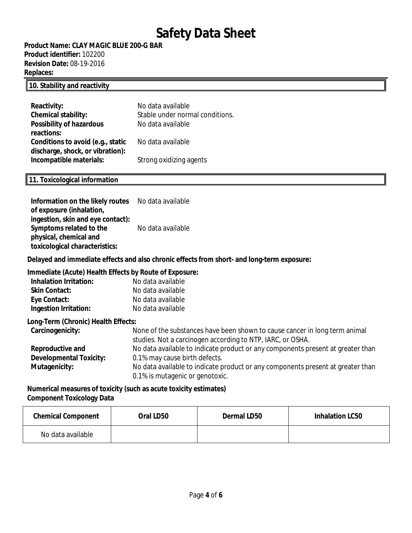**Product Name: CLAY MAGIC BLUE 200-G BAR Product identifier:** 102200 **Revision Date:** 08-19-2016 **Replaces:** 

### **10. Stability and reactivity**

| Reactivity:                       | No data available               |
|-----------------------------------|---------------------------------|
| <b>Chemical stability:</b>        | Stable under normal conditions. |
| <b>Possibility of hazardous</b>   | No data available               |
| reactions:                        |                                 |
| Conditions to avoid (e.g., static | No data available               |
| discharge, shock, or vibration):  |                                 |
| Incompatible materials:           | Strong oxidizing agents         |

### **11. Toxicological information**

| Information on the likely routes No data available |                   |
|----------------------------------------------------|-------------------|
| of exposure (inhalation,                           |                   |
| ingestion, skin and eye contact):                  |                   |
| Symptoms related to the                            | No data available |
| physical, chemical and                             |                   |
| toxicological characteristics:                     |                   |

**Delayed and immediate effects and also chronic effects from short- and long-term exposure:**

#### **Immediate (Acute) Health Effects by Route of Exposure:**

| <b>Inhalation Irritation:</b> | No data available |
|-------------------------------|-------------------|
| <b>Skin Contact:</b>          | No data available |
| Eye Contact:                  | No data available |
| Ingestion Irritation:         | No data available |

**Long-Term (Chronic) Health Effects:**

| Carcinogenicity:               | None of the substances have been shown to cause cancer in long term animal<br>studies. Not a carcinogen according to NTP, IARC, or OSHA. |
|--------------------------------|------------------------------------------------------------------------------------------------------------------------------------------|
| Reproductive and               | No data available to indicate product or any components present at greater than                                                          |
| <b>Developmental Toxicity:</b> | 0.1% may cause birth defects.                                                                                                            |
| Mutagenicity:                  | No data available to indicate product or any components present at greater than                                                          |
|                                | 0.1% is mutagenic or genotoxic.                                                                                                          |

**Numerical measures of toxicity (such as acute toxicity estimates) Component Toxicology Data**

| <b>Chemical Component</b> | Oral LD50 | Dermal LD50 | <b>Inhalation LC50</b> |
|---------------------------|-----------|-------------|------------------------|
| No data available         |           |             |                        |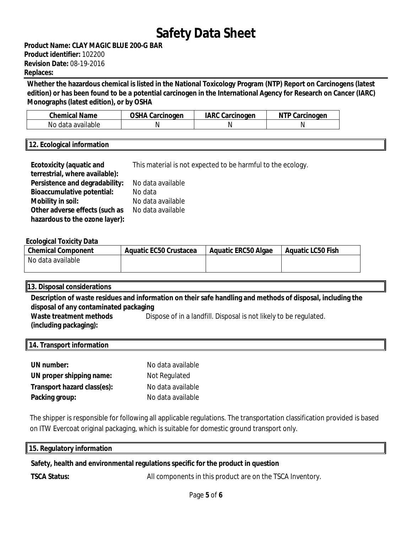**Product Name: CLAY MAGIC BLUE 200-G BAR Product identifier:** 102200 **Revision Date:** 08-19-2016 **Replaces:** 

**Whether the hazardous chemical is listed in the National Toxicology Program (NTP) Report on Carcinogens (latest edition) or has been found to be a potential carcinogen in the International Agency for Research on Cancer (IARC) Monographs (latest edition), or by OSHA**

| <b>Chemical Name</b> | OSHA Carcinogen | IARC<br>. Carcinogen | arcinogen;<br>N<br>اd |
|----------------------|-----------------|----------------------|-----------------------|
| No data available    |                 | N                    |                       |

### **12. Ecological information**

| <b>Ecotoxicity (aquatic and</b>   | This material is not expected to be harmful to the ecology. |
|-----------------------------------|-------------------------------------------------------------|
| terrestrial, where available):    |                                                             |
| Persistence and degradability:    | No data available                                           |
| <b>Bioaccumulative potential:</b> | No data                                                     |
| Mobility in soil:                 | No data available                                           |
| Other adverse effects (such as    | No data available                                           |
| hazardous to the ozone layer):    |                                                             |

### **Ecological Toxicity Data**

| <b>Chemical Component</b> | Aquatic EC50 Crustacea | <b>Aquatic ERC50 Algae</b> | Aquatic LC50 Fish |
|---------------------------|------------------------|----------------------------|-------------------|
| No data available         |                        |                            |                   |

### **13. Disposal considerations**

**Description of waste residues and information on their safe handling and methods of disposal, including the disposal of any contaminated packaging Waste treatment methods**  Dispose of in a landfill. Disposal is not likely to be regulated.

**(including packaging):** 

### **14. Transport information**

| UN number:                  | No data available |
|-----------------------------|-------------------|
| UN proper shipping name:    | Not Regulated     |
| Transport hazard class(es): | No data available |
| Packing group:              | No data available |

The shipper is responsible for following all applicable regulations. The transportation classification provided is based on ITW Evercoat original packaging, which is suitable for domestic ground transport only.

#### **15. Regulatory information**

### **Safety, health and environmental regulations specific for the product in question**

**TSCA Status:** All components in this product are on the TSCA Inventory.